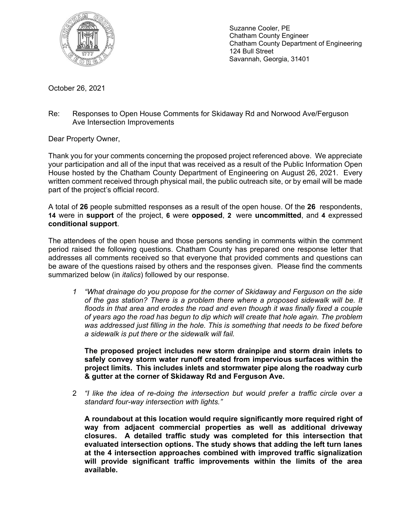

Suzanne Cooler, PE Chatham County Engineer Chatham County Department of Engineering 124 Bull Street Savannah, Georgia, 31401

October 26, 2021

Re: Responses to Open House Comments for Skidaway Rd and Norwood Ave/Ferguson Ave Intersection Improvements

Dear Property Owner,

Thank you for your comments concerning the proposed project referenced above. We appreciate your participation and all of the input that was received as a result of the Public Information Open House hosted by the Chatham County Department of Engineering on August 26, 2021. Every written comment received through physical mail, the public outreach site, or by email will be made part of the project's official record.

A total of **26** people submitted responses as a result of the open house. Of the **26** respondents, **14** were in **support** of the project, **6** were **opposed**, **2** were **uncommitted**, and **4** expressed **conditional support**.

The attendees of the open house and those persons sending in comments within the comment period raised the following questions. Chatham County has prepared one response letter that addresses all comments received so that everyone that provided comments and questions can be aware of the questions raised by others and the responses given. Please find the comments summarized below (in *italics*) followed by our response.

*1 "What drainage do you propose for the corner of Skidaway and Ferguson on the side of the gas station? There is a problem there where a proposed sidewalk will be. It*  floods in that area and erodes the road and even though it was finally fixed a couple *of years ago the road has begun to dip which will create that hole again. The problem was addressed just filling in the hole. This is something that needs to be fixed before a sidewalk is put there or the sidewalk will fail.* 

**The proposed project includes new storm drainpipe and storm drain inlets to safely convey storm water runoff created from impervious surfaces within the project limits. This includes inlets and stormwater pipe along the roadway curb & gutter at the corner of Skidaway Rd and Ferguson Ave.** 

2 *"I like the idea of re-doing the intersection but would prefer a traffic circle over a standard four-way intersection with lights."*

**A roundabout at this location would require significantly more required right of way from adjacent commercial properties as well as additional driveway closures. A detailed traffic study was completed for this intersection that evaluated intersection options. The study shows that adding the left turn lanes at the 4 intersection approaches combined with improved traffic signalization will provide significant traffic improvements within the limits of the area available.**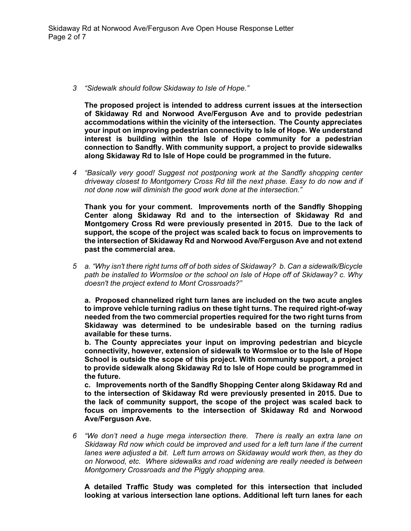*3 "Sidewalk should follow Skidaway to Isle of Hope."* 

**The proposed project is intended to address current issues at the intersection of Skidaway Rd and Norwood Ave/Ferguson Ave and to provide pedestrian accommodations within the vicinity of the intersection. The County appreciates your input on improving pedestrian connectivity to Isle of Hope. We understand interest is building within the Isle of Hope community for a pedestrian connection to Sandfly. With community support, a project to provide sidewalks along Skidaway Rd to Isle of Hope could be programmed in the future.** 

*4 "Basically very good! Suggest not postponing work at the Sandfly shopping center driveway closest to Montgomery Cross Rd till the next phase. Easy to do now and if not done now will diminish the good work done at the intersection."* 

**Thank you for your comment. Improvements north of the Sandfly Shopping Center along Skidaway Rd and to the intersection of Skidaway Rd and Montgomery Cross Rd were previously presented in 2015. Due to the lack of support, the scope of the project was scaled back to focus on improvements to the intersection of Skidaway Rd and Norwood Ave/Ferguson Ave and not extend past the commercial area.** 

*5 a. "Why isn't there right turns off of both sides of Skidaway? b. Can a sidewalk/Bicycle path be installed to Wormsloe or the school on Isle of Hope off of Skidaway? c. Why doesn't the project extend to Mont Crossroads?"* 

**a. Proposed channelized right turn lanes are included on the two acute angles to improve vehicle turning radius on these tight turns. The required right-of-way needed from the two commercial properties required for the two right turns from Skidaway was determined to be undesirable based on the turning radius available for these turns.** 

**b. The County appreciates your input on improving pedestrian and bicycle connectivity, however, extension of sidewalk to Wormsloe or to the Isle of Hope School is outside the scope of this project. With community support, a project to provide sidewalk along Skidaway Rd to Isle of Hope could be programmed in the future.** 

**c. Improvements north of the Sandfly Shopping Center along Skidaway Rd and to the intersection of Skidaway Rd were previously presented in 2015. Due to the lack of community support, the scope of the project was scaled back to focus on improvements to the intersection of Skidaway Rd and Norwood Ave/Ferguson Ave.** 

*6 "We don't need a huge mega intersection there. There is really an extra lane on Skidaway Rd now which could be improved and used for a left turn lane if the current*  lanes were adjusted a bit. Left turn arrows on Skidaway would work then, as they do *on Norwood, etc. Where sidewalks and road widening are really needed is between Montgomery Crossroads and the Piggly shopping area.*

**A detailed Traffic Study was completed for this intersection that included looking at various intersection lane options. Additional left turn lanes for each**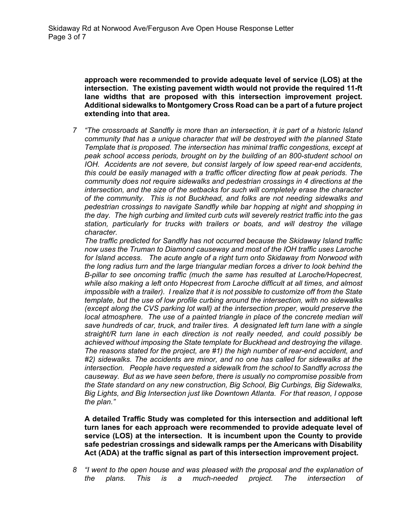**approach were recommended to provide adequate level of service (LOS) at the intersection. The existing pavement width would not provide the required 11-ft lane widths that are proposed with this intersection improvement project. Additional sidewalks to Montgomery Cross Road can be a part of a future project extending into that area.** 

*7 "The crossroads at Sandfly is more than an intersection, it is part of a historic Island community that has a unique character that will be destroyed with the planned State Template that is proposed. The intersection has minimal traffic congestions, except at peak school access periods, brought on by the building of an 800-student school on IOH. Accidents are not severe, but consist largely of low speed rear-end accidents, this could be easily managed with a traffic officer directing flow at peak periods. The community does not require sidewalks and pedestrian crossings in 4 directions at the intersection, and the size of the setbacks for such will completely erase the character of the community. This is not Buckhead, and folks are not needing sidewalks and pedestrian crossings to navigate Sandfly while bar hopping at night and shopping in the day. The high curbing and limited curb cuts will severely restrict traffic into the gas station, particularly for trucks with trailers or boats, and will destroy the village character.* 

*The traffic predicted for Sandfly has not occurred because the Skidaway Island traffic now uses the Truman to Diamond causeway and most of the IOH traffic uses Laroche for Island access. The acute angle of a right turn onto Skidaway from Norwood with the long radius turn and the large triangular median forces a driver to look behind the B-pillar to see oncoming traffic (much the same has resulted at Laroche/Hopecrest, while also making a left onto Hopecrest from Laroche difficult at all times, and almost impossible with a trailer). I realize that it is not possible to customize off from the State template, but the use of low profile curbing around the intersection, with no sidewalks (except along the CVS parking lot wall) at the intersection proper, would preserve the local atmosphere. The use of a painted triangle in place of the concrete median will save hundreds of car, truck, and trailer tires. A designated left turn lane with a single straight/R turn lane in each direction is not really needed, and could possibly be achieved without imposing the State template for Buckhead and destroying the village. The reasons stated for the project, are #1) the high number of rear-end accident, and #2) sidewalks. The accidents are minor, and no one has called for sidewalks at the intersection. People have requested a sidewalk from the school to Sandfly across the causeway. But as we have seen before, there is usually no compromise possible from the State standard on any new construction, Big School, Big Curbings, Big Sidewalks, Big Lights, and Big Intersection just like Downtown Atlanta. For that reason, I oppose the plan."* 

**A detailed Traffic Study was completed for this intersection and additional left turn lanes for each approach were recommended to provide adequate level of service (LOS) at the intersection. It is incumbent upon the County to provide safe pedestrian crossings and sidewalk ramps per the Americans with Disability Act (ADA) at the traffic signal as part of this intersection improvement project.** 

*8 "I went to the open house and was pleased with the proposal and the explanation of the plans. This is a much-needed project. The intersection of*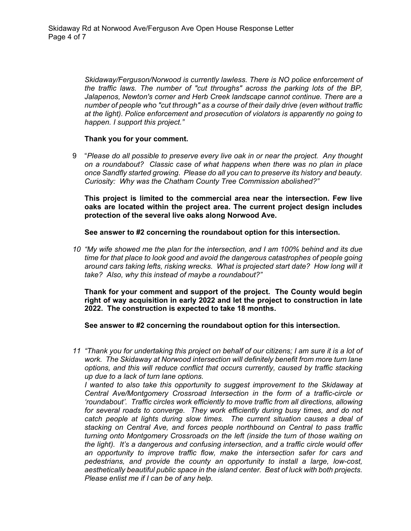*Skidaway/Ferguson/Norwood is currently lawless. There is NO police enforcement of the traffic laws. The number of "cut throughs" across the parking lots of the BP, Jalapenos, Newton's corner and Herb Creek landscape cannot continue. There are a number of people who "cut through" as a course of their daily drive (even without traffic at the light). Police enforcement and prosecution of violators is apparently no going to happen. I support this project."* 

## **Thank you for your comment.**

9 "*Please do all possible to preserve every live oak in or near the project. Any thought on a roundabout? Classic case of what happens when there was no plan in place once Sandfly started growing. Please do all you can to preserve its history and beauty. Curiosity: Why was the Chatham County Tree Commission abolished?"*

**This project is limited to the commercial area near the intersection. Few live oaks are located within the project area. The current project design includes protection of the several live oaks along Norwood Ave.** 

**See answer to #2 concerning the roundabout option for this intersection.** 

*10 "My wife showed me the plan for the intersection, and I am 100% behind and its due time for that place to look good and avoid the dangerous catastrophes of people going around cars taking lefts, risking wrecks. What is projected start date? How long will it take? Also, why this instead of maybe a roundabout?"* 

**Thank for your comment and support of the project. The County would begin right of way acquisition in early 2022 and let the project to construction in late 2022. The construction is expected to take 18 months.** 

**See answer to #2 concerning the roundabout option for this intersection.** 

*11 "Thank you for undertaking this project on behalf of our citizens; I am sure it is a lot of work. The Skidaway at Norwood intersection will definitely benefit from more turn lane options, and this will reduce conflict that occurs currently, caused by traffic stacking up due to a lack of turn lane options.* 

*I* wanted to also take this opportunity to suggest improvement to the Skidaway at *Central Ave/Montgomery Crossroad Intersection in the form of a traffic-circle or 'roundabout'. Traffic circles work efficiently to move traffic from all directions, allowing*  for several roads to converge. They work efficiently during busy times, and do not *catch people at lights during slow times. The current situation causes a deal of stacking on Central Ave, and forces people northbound on Central to pass traffic turning onto Montgomery Crossroads on the left (inside the turn of those waiting on the light). It's a dangerous and confusing intersection, and a traffic circle would offer an opportunity to improve traffic flow, make the intersection safer for cars and pedestrians, and provide the county an opportunity to install a large, low-cost, aesthetically beautiful public space in the island center. Best of luck with both projects. Please enlist me if I can be of any help.*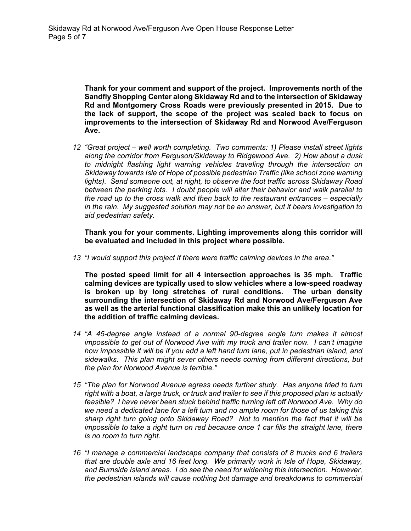**Thank for your comment and support of the project. Improvements north of the Sandfly Shopping Center along Skidaway Rd and to the intersection of Skidaway Rd and Montgomery Cross Roads were previously presented in 2015. Due to the lack of support, the scope of the project was scaled back to focus on improvements to the intersection of Skidaway Rd and Norwood Ave/Ferguson Ave.** 

*12 "Great project – well worth completing. Two comments: 1) Please install street lights along the corridor from Ferguson/Skidaway to Ridgewood Ave. 2) How about a dusk to midnight flashing light warning vehicles traveling through the intersection on Skidaway towards Isle of Hope of possible pedestrian Traffic (like school zone warning lights). Send someone out, at night, to observe the foot traffic across Skidaway Road between the parking lots. I doubt people will alter their behavior and walk parallel to the road up to the cross walk and then back to the restaurant entrances – especially in the rain. My suggested solution may not be an answer, but it bears investigation to aid pedestrian safety.* 

**Thank you for your comments. Lighting improvements along this corridor will be evaluated and included in this project where possible.** 

*13 "I would support this project if there were traffic calming devices in the area."* 

**The posted speed limit for all 4 intersection approaches is 35 mph. Traffic calming devices are typically used to slow vehicles where a low-speed roadway is broken up by long stretches of rural conditions. The urban density surrounding the intersection of Skidaway Rd and Norwood Ave/Ferguson Ave as well as the arterial functional classification make this an unlikely location for the addition of traffic calming devices.** 

- *14 "A 45-degree angle instead of a normal 90-degree angle turn makes it almost impossible to get out of Norwood Ave with my truck and trailer now. I can't imagine how impossible it will be if you add a left hand turn lane, put in pedestrian island, and sidewalks. This plan might sever others needs coming from different directions, but the plan for Norwood Avenue is terrible."*
- *15 "The plan for Norwood Avenue egress needs further study. Has anyone tried to turn right with a boat, a large truck, or truck and trailer to see if this proposed plan is actually feasible? I have never been stuck behind traffic turning left off Norwood Ave. Why do we need a dedicated lane for a left turn and no ample room for those of us taking this sharp right turn going onto Skidaway Road? Not to mention the fact that it will be impossible to take a right turn on red because once 1 car fills the straight lane, there is no room to turn right.*
- *16 "I manage a commercial landscape company that consists of 8 trucks and 6 trailers that are double axle and 16 feet long. We primarily work in Isle of Hope, Skidaway, and Burnside Island areas. I do see the need for widening this intersection. However, the pedestrian islands will cause nothing but damage and breakdowns to commercial*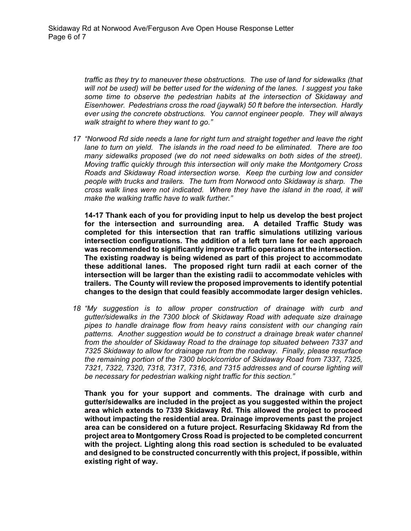*traffic as they try to maneuver these obstructions. The use of land for sidewalks (that will not be used) will be better used for the widening of the lanes. I suggest you take some time to observe the pedestrian habits at the intersection of Skidaway and Eisenhower. Pedestrians cross the road (jaywalk) 50 ft before the intersection. Hardly ever using the concrete obstructions. You cannot engineer people. They will always walk straight to where they want to go."* 

*17 "Norwood Rd side needs a lane for right turn and straight together and leave the right lane to turn on yield. The islands in the road need to be eliminated. There are too many sidewalks proposed (we do not need sidewalks on both sides of the street). Moving traffic quickly through this intersection will only make the Montgomery Cross Roads and Skidaway Road intersection worse. Keep the curbing low and consider people with trucks and trailers. The turn from Norwood onto Skidaway is sharp. The cross walk lines were not indicated. Where they have the island in the road, it will make the walking traffic have to walk further."* 

**14-17 Thank each of you for providing input to help us develop the best project for the intersection and surrounding area. A detailed Traffic Study was completed for this intersection that ran traffic simulations utilizing various intersection configurations. The addition of a left turn lane for each approach was recommended to significantly improve traffic operations at the intersection. The existing roadway is being widened as part of this project to accommodate these additional lanes. The proposed right turn radii at each corner of the intersection will be larger than the existing radii to accommodate vehicles with trailers. The County will review the proposed improvements to identify potential changes to the design that could feasibly accommodate larger design vehicles.** 

*18 "My suggestion is to allow proper construction of drainage with curb and gutter/sidewalks in the 7300 block of Skidaway Road with adequate size drainage pipes to handle drainage flow from heavy rains consistent with our changing rain patterns. Another suggestion would be to construct a drainage break water channel from the shoulder of Skidaway Road to the drainage top situated between 7337 and 7325 Skidaway to allow for drainage run from the roadway. Finally, please resurface the remaining portion of the 7300 block/corridor of Skidaway Road from 7337, 7325, 7321, 7322, 7320, 7318, 7317, 7316, and 7315 addresses and of course lighting will be necessary for pedestrian walking night traffic for this section."* 

**Thank you for your support and comments. The drainage with curb and gutter/sidewalks are included in the project as you suggested within the project area which extends to 7339 Skidaway Rd. This allowed the project to proceed without impacting the residential area. Drainage improvements past the project area can be considered on a future project. Resurfacing Skidaway Rd from the project area to Montgomery Cross Road is projected to be completed concurrent with the project. Lighting along this road section is scheduled to be evaluated and designed to be constructed concurrently with this project, if possible, within existing right of way.**